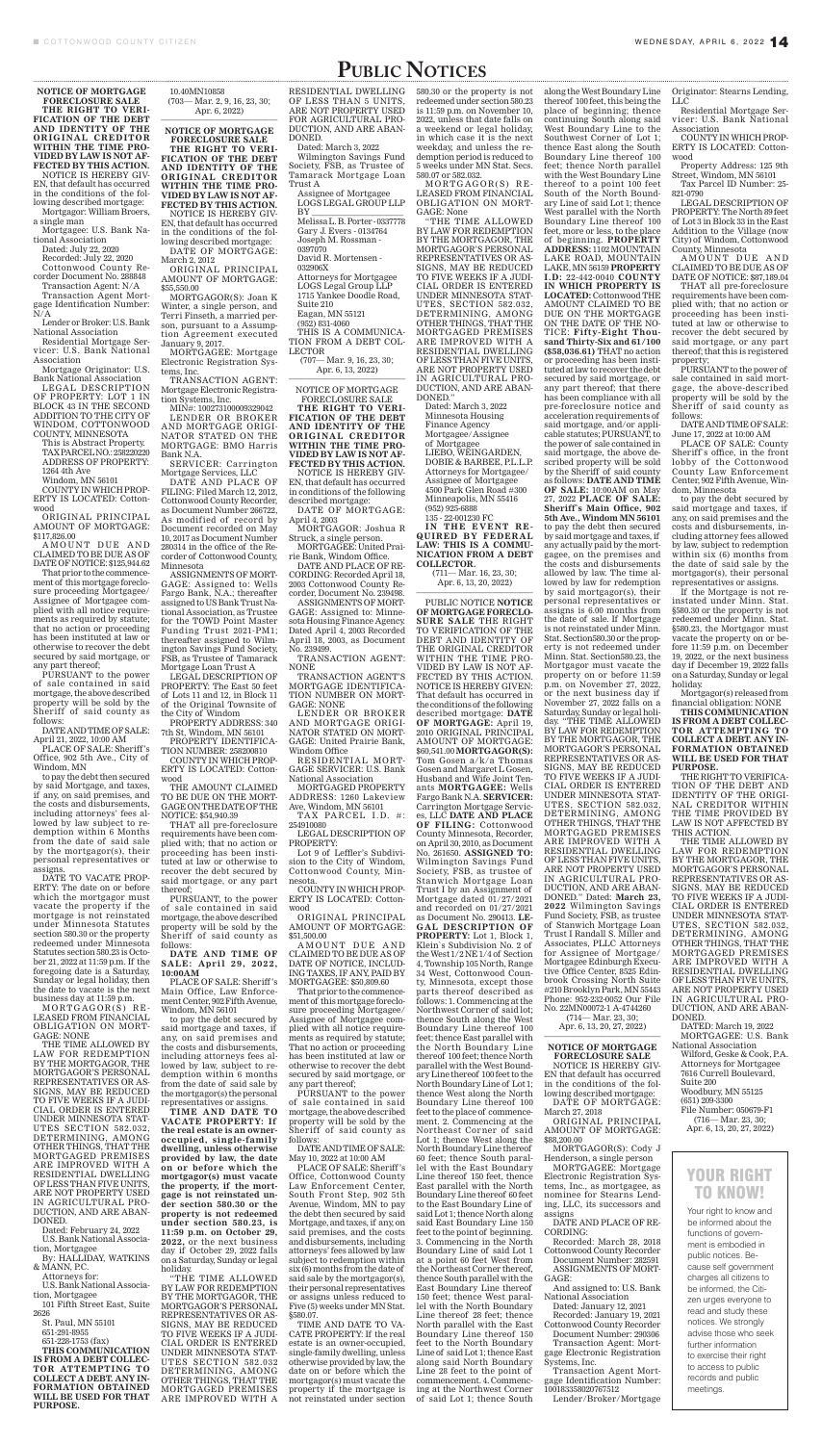# PUBLIC NOTICES

**NOTICE OF MORTGAGE FORECLOSURE SALE THE RIGHT TO VERI-FICATION OF THE DEBT AND IDENTITY OF THE ORIGINAL CREDITOR WITHIN THE TIME PRO-VIDED BY LAW IS NOT AF-FECTED BY THIS ACTION.** NOTICE IS HEREBY GIV-EN, that default has occurred in the conditions of the fol-

lowing described mortgage: Mortgagor: William Broers, a single man

Mortgagee: U.S. Bank National Association

Dated: July 22, 2020 Recorded: July 22, 2020

Cottonwood County Recorder Document No. 288848

Transaction Agent: N/A Transaction Agent Mort-

AMOUNT DUE AND CLAIMED TO BE DUE AS OF DATE OF NOTICE: \$125,944.62

gage Identification Number: N/A Lender or Broker: U.S. Bank

National Association

Residential Mortgage Servicer: U.S. Bank National Association

Mortgage Originator: U.S. Bank National Association

LEGAL DESCRIPTION OF PROPERTY: LOT 1 IN BLOCK 43 IN THE SECOND ADDITION TO THE CITY OF WINDOM, COTTONWOOD COUNTY, MINNESOTA

This is Abstract Property. TAX PARCEL NO.: 258220220 ADDRESS OF PROPERTY: 1264 4th Ave

Windom, MN 56101

COUNTY IN WHICH PROP-ERTY IS LOCATED: Cottonwood

ORIGINAL PRINCIPAL AMOUNT OF MORTGAGE: \$117,826.00

That prior to the commencement of this mortgage foreclosure proceeding Mortgagee/ Assignee of Mortgagee complied with all notice requirements as required by statute; that no action or proceeding has been instituted at law or otherwise to recover the debt secured by said mortgage, or any part thereof;

PURSUANT to the power of sale contained in said mortgage, the above described property will be sold by the Sheriff of said county as follows:

10.40MN10858 (703— Mar. 2, 9, 16, 23, 30; Apr. 6, 2022)

DATE AND TIME OF SALE: April 21, 2022, 10:00 AM

PLACE OF SALE: Sheriff 's Office, 902 5th Ave., City of Windom, MN

to pay the debt then secured by said Mortgage, and taxes, if any, on said premises, and the costs and disbursements, including attorneys' fees allowed by law subject to re-

demption within 6 Months from the date of said sale by the mortgagor(s), their personal representatives or assigns.

DATE TO VACATE PROP-ERTY: The date on or before which the mortgagor must vacate the property if the mortgage is not reinstated under Minnesota Statutes section 580.30 or the property redeemed under Minnesota Statutes section 580.23 is October 21, 2022 at 11:59 p.m. If the foregoing date is a Saturday, Sunday or legal holiday, then the date to vacate is the next business day at 11:59 p.m.

MORTGAGOR(S) RE - LEASED FROM FINANCIAL OBLIGATION ON MORT-GAGE: NONE

THE TIME ALLOWED BY LAW FOR REDEMPTION BY THE MORTGAGOR, THE MORTGAGOR'S PERSONAL REPRESENTATIVES OR AS-SIGNS, MAY BE REDUCED TO FIVE WEEKS IF A JUDI-CIAL ORDER IS ENTERED UNDER MINNESOTA STAT-UTES SECTION 582.032, DETERMINING, AMONG OTHER THINGS, THAT THE MORTGAGED PREMISES ARE IMPROVED WITH A RESIDENTIAL DWELLING OF LESS THAN FIVE UNITS, ARE NOT PROPERTY USED IN AGRICULTURAL PRO-DUCTION, AND ARE ABAN-DONED.

Dated: February 24, 2022 U.S. Bank National Association, Mortgagee

By: HALLIDAY, WATKINS & MANN, P.C.

Attorneys for:

U.S. Bank National Association, Mortgagee

101 Fifth Street East, Suite

2626 St. Paul, MN 55101

651-291-8955

651-228-1753 (fax) **THIS COMMUNICATION IS FROM A DEBT COLLEC-TOR ATTEMPTING TO COLLECT A DEBT. ANY IN-FORMATION OBTAINED WILL BE USED FOR THAT PURPOSE.**

**NOTICE OF MORTGAGE FORECLOSURE SALE THE RIGHT TO VERI-FICATION OF THE DEBT AND IDENTITY OF THE ORIGINAL CREDITOR WITHIN THE TIME PRO-VIDED BY LAW IS NOT AF-FECTED BY THIS ACTION.** NOTICE IS HEREBY GIV-

EN, that default has occurred in the conditions of the following described mortgage: DATE OF MORTGAGE:

March 2, 2012 ORIGINAL PRINCIPAL AMOUNT OF MORTGAGE:

\$55,550.00 MORTGAGOR(S): Joan K Winter, a single person, and Terri Finseth, a married person, pursuant to a Assumption Agreement executed

January 9, 2017. MORTGAGEE: Mortgage Electronic Registration Systems, Inc.

> TRANSACTION AGENT: **NONE**

TRANSACTION AGENT: Mortgage Electronic Registration Systems, Inc.

MIN#: 100273100009329042 LENDER OR BROKER AND MORTGAGE ORIGI-NATOR STATED ON THE MORTGAGE: BMO Harris Bank N.A.

> TAX PARCEL I.D. #: 254910080

SERVICER: Carrington Mortgage Services, LLC

> AMOUNT DUE AND CLAIMED TO BE DUE AS OF DATE OF NOTICE, INCLUD-ING TAXES, IF ANY, PAID BY MORTGAGEE: \$50,809.60

DATE AND PLACE OF FILING: Filed March 12, 2012, Cottonwood County Recorder, as Document Number 266722, As modified of record by Document recorded on May 10, 2017 as Document Number 280314 in the office of the Recorder of Cottonwood County, Minnesota

ASSIGNMENTS OF MORT-GAGE: Assigned to: Wells Fargo Bank, N.A.; thereafter assigned to US Bank Trust National Association, as Trustee for the TOWD Point Master Funding Trust 2021-PM1; thereafter assigned to Wilmington Savings Fund Society, FSB, as Trustee of Tamarack Mortgage Loan Trust A

LEGAL DESCRIPTION OF PROPERTY: The East 50 feet of Lots 11 and 12, in Block 11 of the Original Townsite of the City of Windom

PROPERTY ADDRESS: 340 7th St, Windom, MN 56101

PROPERTY IDENTIFICA-TION NUMBER: 258200810 COUNTY IN WHICH PROP-

ERTY IS LOCATED: Cottonwood

THE AMOUNT CLAIMED TO BE DUE ON THE MORT-GAGE ON THE DATE OF THE NOTICE: \$54,940.39

THAT all pre-foreclosure

requirements have been complied with; that no action or proceeding has been instituted at law or otherwise to recover the debt secured by said mortgage, or any part thereof;

PURSUANT, to the power of sale contained in said mortgage, the above described property will be sold by the Sheriff of said county as follows:

**DATE AND TIME OF SALE: April 29, 2022, 10:00AM**

(711— Mar. 16, 23, 30; Apr. 6, 13, 20, 2022)

PLACE OF SALE: Sheriff 's Main Office, Law Enforcement Center, 902 Fifth Avenue, Windom, MN 56101

to pay the debt secured by said mortgage and taxes, if any, on said premises and the costs and disbursements, including attorneys fees allowed by law, subject to redemption within 6 months from the date of said sale by the mortgagor(s) the personal representatives or assigns.

**TIME AND DATE TO VACATE PROPERTY: If the real estate is an owneroccupied, single-family dwelling, unless otherwise provided by law, the date on or before which the mortgagor(s) must vacate the property, if the mortgage is not reinstated under section 580.30 or the property is not redeemed under section 580.23, is 11:59 p.m. on October 29, 2022,** or the next business day if October 29, 2022 falls on a Saturday, Sunday or legal holiday.

"THE TIME ALLOWED BY LAW FOR REDEMPTION BY THE MORTGAGOR, THE MORTGAGOR'S PERSONAL REPRESENTATIVES OR AS-SIGNS, MAY BE REDUCED TO FIVE WEEKS IF A JUDI-CIAL ORDER IS ENTERED UNDER MINNESOTA STAT-UTES SECTION 582.032 DETERMINING, AMONG OTHER THINGS, THAT THE MORTGAGED PREMISES ARE IMPROVED WITH A

## RESIDENTIAL DWELLING OF LESS THAN 5 UNITS, ARE NOT PROPERTY USED FOR AGRICULTURAL PRO-DUCTION, AND ARE ABAN-DONED.

Dated: March 3, 2022

Wilmington Savings Fund Society, FSB, as Trustee of Tamarack Mortgage Loan Trust A

Assignee of Mortgagee LOGS LEGAL GROUP LLP BY \_\_\_\_\_\_\_\_\_\_\_\_\_\_\_\_\_\_\_\_\_\_ Melissa L. B. Porter - 0337778

Gary J. Evers - 0134764 Joseph M. Rossman - 0397070 David R. Mortensen - 032906X Attorneys for Mortgagee LOGS Legal Group LLP 1715 Yankee Doodle Road, Suite 210 Eagan, MN 55121 (952) 831-4060 THIS IS A COMMUNICA-TION FROM A DEBT COL-LECTOR (707— Mar. 9, 16, 23, 30;

Apr. 6, 13, 2022)

NOTICE OF MORTGAGE FORECLOSURE SALE

**THE RIGHT TO VERI-FICATION OF THE DEBT AND IDENTITY OF THE ORIGINAL CREDITOR WITHIN THE TIME PRO-VIDED BY LAW IS NOT AF-FECTED BY THIS ACTION.** NOTICE IS HEREBY GIV-EN, that default has occurred in conditions of the following described mortgage:

DATE OF MORTGAGE: April 4, 2003

MORTGAGOR: Joshua R Struck, a single person.

MORTGAGEE: United Prairie Bank, Windom Office.

DATE AND PLACE OF RE-CORDING: Recorded April 18, 2003 Cottonwood County Recorder, Document No. 239498.

ASSIGNMENTS OF MORT-GAGE: Assigned to: Minnesota Housing Finance Agency. Dated April 4, 2003 Recorded April 18, 2003, as Document No. 239499.

TRANSACTION AGENT'S MORTGAGE IDENTIFICA-TION NUMBER ON MORT-GAGE: NONE

> (714— Mar. 23, 30; Apr. 6, 13, 20, 27, 2022)

LENDER OR BROKER AND MORTGAGE ORIGI-NATOR STATED ON MORT-GAGE: United Prairie Bank, Windom Office

RESIDENTIAL MORT-GAGE SERVICER: U.S. Bank National Association

MORTGAGED PROPERTY ADDRESS: 1260 Lakeview Ave, Windom, MN 56101

LEGAL DESCRIPTION OF PROPERTY:

Lot 9 of Leffler's Subdivision to the City of Windom, Cottonwood County, Minnesota.

COUNTY IN WHICH PROP-ERTY IS LOCATED: Cottonwood

ORIGINAL PRINCIPAL AMOUNT OF MORTGAGE: \$51,500.00

AMOUNT DUE AND CLAIMED TO BE DUE AS OF DATE OF NOTICE: \$87,189.04

That prior to the commencement of this mortgage foreclosure proceeding Mortgagee/ Assignee of Mortgagee complied with all notice requirements as required by statute; That no action or proceeding has been instituted at law or otherwise to recover the debt secured by said mortgage, or any part thereof;

PURSUANT to the power of sale contained in said mortgage, the above described property will be sold by the Sheriff of said county as follows:

DATE AND TIME OF SALE: May 10, 2022 at 10:00 AM

PLACE OF SALE: Sheriff 's Office, Cottonwood County Law Enforcement Center, South Front Step, 902 5th Avenue, Windom, MN to pay the debt then secured by said Mortgage, and taxes, if any, on said premises, and the costs and disbursements, including attorneys' fees allowed by law subject to redemption within six (6) months from the date of said sale by the mortgagor(s), their personal representatives or assigns unless reduced to Five (5) weeks under MN Stat. §580.07.

TIME AND DATE TO VA-CATE PROPERTY: If the real estate is an owner-occupied, single-family dwelling, unless otherwise provided by law, the date on or before which the mortgagor(s) must vacate the property if the mortgage is not reinstated under section 580.30 or the property is not redeemed under section 580.23 is 11:59 p.m. on November 10, 2022, unless that date falls on a weekend or legal holiday, in which case it is the next weekday, and unless the redemption period is reduced to 5 weeks under MN Stat. Secs. 580.07 or 582.032.

MORTGAGOR(S) RE - LEASED FROM FINANCIAL OBLIGATION ON MORT-GAGE: None

"THE TIME ALLOWED BY LAW FOR REDEMPTION BY THE MORTGAGOR, THE MORTGAGOR'S PERSONAL REPRESENTATIVES OR AS-SIGNS, MAY BE REDUCED TO FIVE WEEKS IF A JUDI-CIAL ORDER IS ENTERED UNDER MINNESOTA STAT-UTES, SECTION 582.032, DETERMINING, AMONG OTHER THINGS, THAT THE MORTGAGED PREMISES ARE IMPROVED WITH A RESIDENTIAL DWELLING OF LESS THAN FIVE UNITS, ARE NOT PROPERTY USED IN AGRICULTURAL PRO-DUCTION, AND ARE ABAN-DONED."

Dated: March 3, 2022 Minnesota Housing Finance Agency Mortgagee/Assignee of Mortgagee LIEBO, WEINGARDEN, DOBIE & BARBEE, P.L.L.P. Attorneys for Mortgagee/ Assignee of Mortgagee 4500 Park Glen Road #300 Minneapolis, MN 55416 (952) 925-6888 135 - 22-001230 FC

**IN THE EVENT RE-QUIRED BY FEDERAL LAW: THIS IS A COMMU-NICATION FROM A DEBT COLLECTOR.**

PUBLIC NOTICE **NOTICE OF MORTGAGE FORECLO-SURE SALE** THE RIGHT TO VERIFICATION OF THE DEBT AND IDENTITY OF THE ORIGINAL CREDITOR WITHIN THE TIME PRO-VIDED BY LAW IS NOT AF-FECTED BY THIS ACTION. NOTICE IS HEREBY GIVEN: That default has occurred in the conditions of the following described mortgage: **DATE OF MORTGAGE:** April 19, 2010 ORIGINAL PRINCIPAL AMOUNT OF MORTGAGE: \$60,541.00 **MORTGAGOR(S):** Tom Gosen a/k/a Thomas Gosen and Margaret L Gosen, Husband and Wife Joint Tenants **MORTGAGEE:** Wells Fargo Bank N.A. **SERVICER:**  Carrington Mortgage Services, LLC **DATE AND PLACE OF FILING:** Cottonwood County Minnesota, Recorder, on April 30, 2010, as Document No. 261650. **ASSIGNED TO:** Wilmington Savings Fund Society, FSB, as trustee of Stanwich Mortgage Loan Trust I by an Assignment of Mortgage dated 01/27/2021 and recorded on 01/27/2021 as Document No. 290413. **LE-GAL DESCRIPTION OF PROPERTY:** Lot 1, Block 1, Klein`s Subdivision No. 2 of the West 1/2 NE 1/4 of Section 4, Township 105 North, Range 34 West, Cottonwood County, Minnesota, except those parts thereof described as follows: 1. Commencing at the Northwest Corner of said lot; thence South along the West Boundary Line thereof 100 feet; thence East parallel with the North Boundary Line thereof 100 feet; thence North parallel with the West Boundary Line thereof 100 feet to the North Boundary Line of Lot 1; thence West along the North Boundary Line thereof 100 feet to the place of commencement. 2. Commencing at the Northeast Corner of said Lot 1; thence West along the North Boundary Line thereof 60 feet; thence South parallel with the East Boundary Line thereof 150 feet, thence East parallel with the North Boundary Line thereof 60 feet to the East Boundary Line of said Lot 1; thence North along said East Boundary Line 150 feet to the point of beginning. 3. Commencing in the North Boundary Line of said Lot 1 at a point 60 feet West from the Northeast Corner thereof, thence South parallel with the East Boundary Line thereof 150 feet; thence West parallel with the North Boundary Line thereof 28 feet; thence North parallel with the East Boundary Line thereof 150 feet to the North Boundary Line of said Lot 1; thence East along said North Boundary Line 28 feet to the point of commencement. 4. Commencing at the Northwest Corner of said Lot 1; thence South

thereof 100 feet, this being the place of beginning; thence continuing South along said West Boundary Line to the Southwest Corner of Lot 1; thence East along the South Boundary Line thereof 100 feet; thence North parallel with the West Boundary Line thereof to a point 100 feet South of the North Boundary Line of said Lot 1; thence West parallel with the North Boundary Line thereof 100 feet, more or less, to the place of beginning. **PROPERTY ADDRESS:** 1102 MOUNTAIN LAKE ROAD, MOUNTAIN LAKE, MN 56159 **PROPERTY I.D:** 22-442-0040 **COUNTY IN WHICH PROPERTY IS LOCATED:** Cottonwood THE AMOUNT CLAIMED TO BE DUE ON THE MORTGAGE ON THE DATE OF THE NO-TICE: **Fifty-Eight Thousand Thirty-Six and 61/100 (\$58,036.61)** THAT no action or proceeding has been instituted at law to recover the debt secured by said mortgage, or any part thereof; that there has been compliance with all pre-foreclosure notice and acceleration requirements of said mortgage, and/or applicable statutes; PURSUANT, to

the power of sale contained in said mortgage, the above described property will be sold by the Sheriff of said county as follows: **DATE AND TIME OF SALE:** 10:00AM on May 27, 2022 **PLACE OF SALE: Sheriff`s Main Office, 902 5th Ave., Windom MN 56101** to pay the debt then secured by said mortgage and taxes, if any actually paid by the mortgagee, on the premises and the costs and disbursements allowed by law. The time allowed by law for redemption by said mortgagor(s), their personal representatives or assigns is 6.00 months from the date of sale. If Mortgage is not reinstated under Minn. Stat. Section580.30 or the property is not redeemed under Minn. Stat. Section580.23, the Mortgagor must vacate the property on or before 11:59 p.m. on November 27, 2022, or the next business day if November 27, 2022 falls on a Saturday, Sunday or legal holiday. "THE TIME ALLOWED BY LAW FOR REDEMPTION BY THE MORTGAGOR, THE MORTGAGOR'S PERSONAL REPRESENTATIVES OR AS-SIGNS, MAY BE REDUCED TO FIVE WEEKS IF A JUDI-CIAL ORDER IS ENTERED

along the West Boundary Line Originator: Stearns Lending, LLC

UTES, SECTION 582.032,

MORTGAGED PREMISES ARE IMPROVED WITH A RESIDENTIAL DWELLING OF LESS THAN FIVE UNITS, ARE NOT PROPERTY USED IN AGRICULTURAL PRO-DUCTION, AND ARE ABAN-DONED." Dated: **March 23, 2022** Wilmington Savings Fund Society, FSB, as trustee of Stanwich Mortgage Loan Trust I Randall S. Miller and Associates, PLLC Attorneys for Assignee of Mortgage/ Mortgagee Edinburgh Executive Office Center, 8525 Edinbrook Crossing North Suite #210 Brooklyn Park, MN 55443 Phone: 952-232-0052 Our File No. 22MN00072-1 A-4744260

#### **NOTICE OF MORTGAGE FORECLOSURE SALE**

NOTICE IS HEREBY GIV-EN that default has occurred in the conditions of the following described mortgage: DATE OF MORTGAGE:

March 27, 2018 ORIGINAL PRINCIPAL AMOUNT OF MORTGAGE: \$88,200.00

MORTGAGOR(S): Cody J Henderson, a single person

MORTGAGEE: Mortgage Electronic Registration Systems, Inc., as mortgagee, as nominee for Stearns Lending, LLC, its successors and assigns

DATE AND PLACE OF RE-CORDING:

Recorded: March 28, 2018 Cottonwood County Recorder Document Number: 282591

ASSIGNMENTS OF MORT-GAGE:

And assigned to: U.S. Bank National Association

Dated: January 12, 2021 Recorded: January 19, 2021 Cottonwood County Recorder

Document Number: 290306 Transaction Agent: Mortgage Electronic Registration Systems, Inc.

Transaction Agent Mortgage Identification Number: 100183358020767512

Lender/Broker/Mortgage

Residential Mortgage Servicer: U.S. Bank National Association

COUNTY IN WHICH PROP-ERTY IS LOCATED: Cottonwood

Property Address: 125 9th Street, Windom, MN 56101 Tax Parcel ID Number: 25-

821-0790 LEGAL DESCRIPTION OF PROPERTY: The North 89 feet of Lot 3 in Block 33 in the East Addition to the Village (now City) of Windom, Cottonwood County, Minnesota

UNDER MINNESOTA STAT-DETERMINING, AMONG OTHER THINGS, THAT THE THE RIGHT TO VERIFICA-TION OF THE DEBT AND IDENTITY OF THE ORIGI-NAL CREDITOR WITHIN THE TIME PROVIDED BY LAW IS NOT AFFECTED BY THIS ACTION. THE TIME ALLOWED BY LAW FOR REDEMPTION BY THE MORTGAGOR, THE MORTGAGOR'S PERSONAL REPRESENTATIVES OR AS-SIGNS, MAY BE REDUCED TO FIVE WEEKS IF A JUDI-CIAL ORDER IS ENTERED UNDER MINNESOTA STAT-UTES, SECTION 582.032, DETERMINING, AMONG OTHER THINGS, THAT THE MORTGAGED PREMISES ARE IMPROVED WITH A RESIDENTIAL DWELLING OF LESS THAN FIVE UNITS, ARE NOT PROPERTY USED IN AGRICULTURAL PRO-DUCTION, AND ARE ABAN-DONED. DATED: March 19, 2022 MORTGAGEE: U.S. Bank National Association Wilford, Geske & Cook, P.A. Attorneys for Mortgagee 7616 Currell Boulevard, Suite 200 Woodbury, MN 55125 (651) 209-3300 File Number: 050679-F1 (716— Mar. 23, 30; Apr. 6, 13, 20, 27, 2022)

THAT all pre-foreclosure requirements have been complied with; that no action or proceeding has been instituted at law or otherwise to recover the debt secured by said mortgage, or any part thereof; that this is registered property;

PURSUANT to the power of sale contained in said mortgage, the above-described property will be sold by the Sheriff of said county as follows:

DATE AND TIME OF SALE: June 17, 2022 at 10:00 AM

PLACE OF SALE: County Sheriff`s office, in the front lobby of the Cottonwood County Law Enforcement Center, 902 Fifth Avenue, Windom, Minnesota

to pay the debt secured by said mortgage and taxes, if any, on said premises and the costs and disbursements, including attorney fees allowed by law, subject to redemption within six (6) months from the date of said sale by the mortgagor(s), their personal representatives or assigns.

If the Mortgage is not reinstated under Minn. Stat. §580.30 or the property is not redeemed under Minn. Stat. §580.23, the Mortgagor must vacate the property on or before 11:59 p.m. on December 19, 2022, or the next business day if December 19, 2022 falls on a Saturday, Sunday or legal holiday.

Mortgagor(s) released from financial obligation: NONE

**THIS COMMUNICATION IS FROM A DEBT COLLEC-TOR ATTEMPTING TO COLLECT A DEBT. ANY IN-FORMATION OBTAINED WILL BE USED FOR THAT PURPOSE.** 

## YOUR RIGHT TO KNOW!

Your right to know and be informed about the functions of government is embodied in public notices. Because self government charges all citizens to be informed, the Citizen urges everyone to read and study these notices. We strongly advise those who seek further information to exercise their right to access to public records and public meetings.